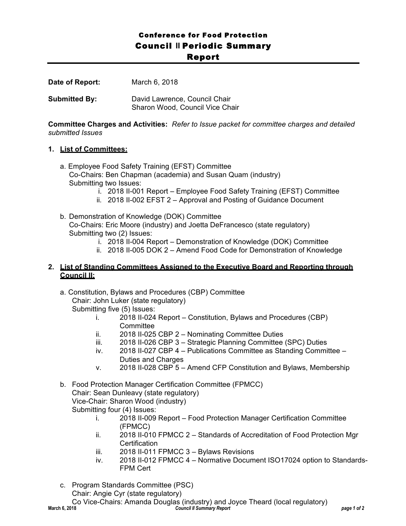# Conference for Food Protection Council **II** Periodic Summary Report

**Date of Report:** March 6, 2018

**Submitted By:** David Lawrence, Council Chair Sharon Wood, Council Vice Chair

**Committee Charges and Activities:** *Refer to Issue packet for committee charges and detailed submitted Issues*

#### **1. List of Committees:**

- a. Employee Food Safety Training (EFST) Committee Co-Chairs: Ben Chapman (academia) and Susan Quam (industry) Submitting two Issues:
	- i. 2018 II-001 Report Employee Food Safety Training (EFST) Committee
	- ii. 2018 II-002 EFST 2 Approval and Posting of Guidance Document
- b. Demonstration of Knowledge (DOK) Committee Co-Chairs: Eric Moore (industry) and Joetta DeFrancesco (state regulatory) Submitting two (2) Issues:
	- i. 2018 II-004 Report Demonstration of Knowledge (DOK) Committee
	- ii. 2018 II-005 DOK 2 Amend Food Code for Demonstration of Knowledge

#### **2. List of Standing Committees Assigned to the Executive Board and Reporting through Council II:**

- a. Constitution, Bylaws and Procedures (CBP) Committee Chair: John Luker (state regulatory) Submitting five (5) Issues:
	- i. 2018 II-024 Report Constitution, Bylaws and Procedures (CBP) **Committee**
	- ii. 2018 II-025 CBP 2 Nominating Committee Duties
	- iii. 2018 II-026 CBP 3 Strategic Planning Committee (SPC) Duties
	- iv. 2018 II-027 CBP 4 Publications Committee as Standing Committee Duties and Charges
	- v. 2018 II-028 CBP 5 Amend CFP Constitution and Bylaws, Membership
- b. Food Protection Manager Certification Committee (FPMCC) Chair: Sean Dunleavy (state regulatory) Vice-Chair: Sharon Wood (industry)

Submitting four (4) Issues:

- i. 2018 II-009 Report Food Protection Manager Certification Committee (FPMCC)
- ii. 2018 II-010 FPMCC 2 Standards of Accreditation of Food Protection Mgr **Certification**
- iii. 2018 II-011 FPMCC 3 Bylaws Revisions
- iv. 2018 II-012 FPMCC 4 Normative Document ISO17024 option to Standards-FPM Cert
- c. Program Standards Committee (PSC)
	- Chair: Angie Cyr (state regulatory)

Co Vice-Chairs: Amanda Douglas (industry) and Joyce Theard (local regulatory)<br>Council II Summary Report<br>page 1 of 2